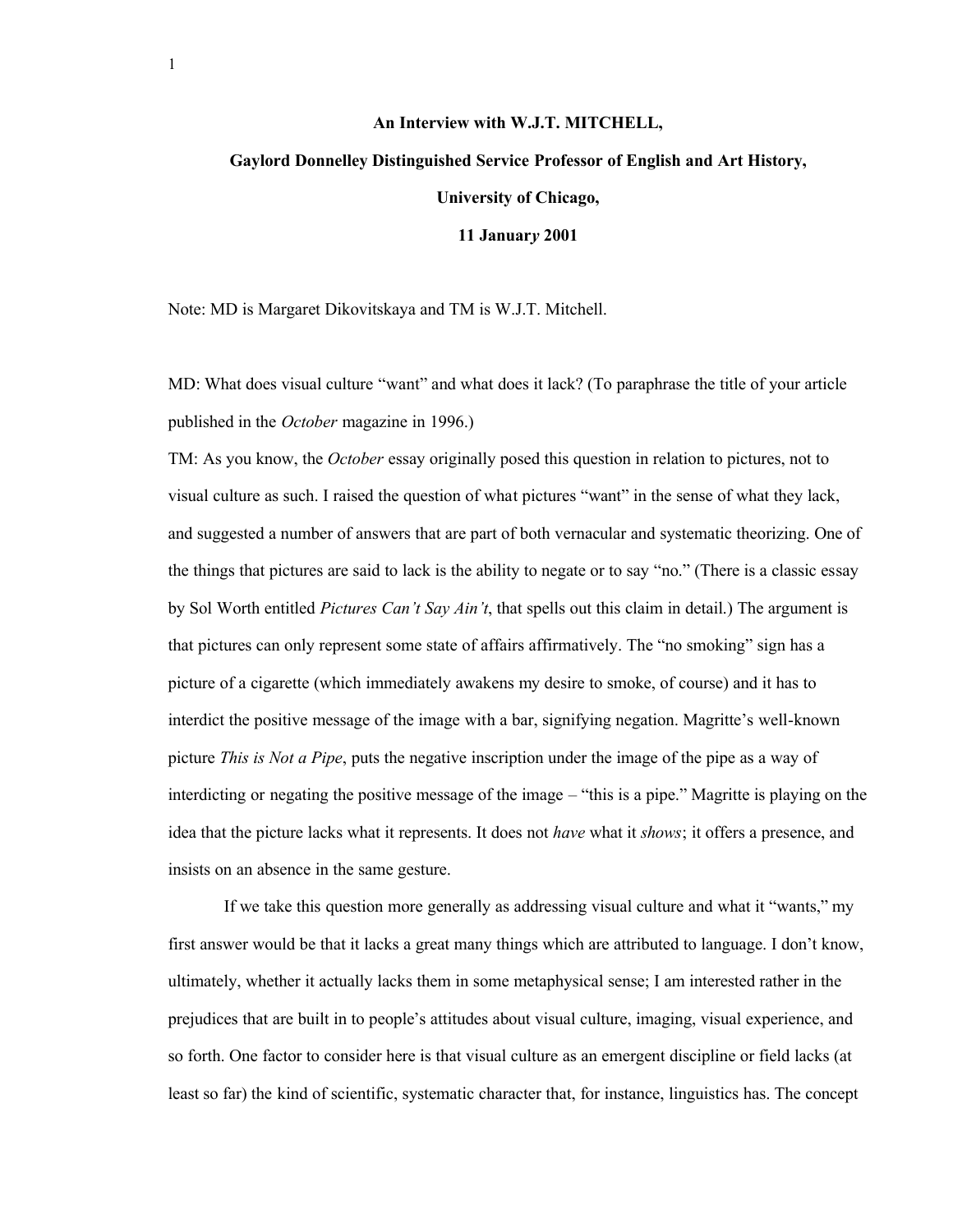#### **An Interview with W.J.T. MITCHELL,**

# **Gaylord Donnelley Distinguished Service Professor of English and Art History, University of Chicago,**

### **11 Januar***y* **2001**

Note: MD is Margaret Dikovitskaya and TM is W.J.T. Mitchell.

MD: What does visual culture "want" and what does it lack? (To paraphrase the title of your article published in the *October* magazine in 1996.)

TM: As you know, the *October* essay originally posed this question in relation to pictures, not to visual culture as such. I raised the question of what pictures "want" in the sense of what they lack, and suggested a number of answers that are part of both vernacular and systematic theorizing. One of the things that pictures are said to lack is the ability to negate or to say "no." (There is a classic essay by Sol Worth entitled *Pictures Can't Say Ain't*, that spells out this claim in detail.) The argument is that pictures can only represent some state of affairs affirmatively. The "no smoking" sign has a picture of a cigarette (which immediately awakens my desire to smoke, of course) and it has to interdict the positive message of the image with a bar, signifying negation. Magritte's well-known picture *This is Not a Pipe*, puts the negative inscription under the image of the pipe as a way of interdicting or negating the positive message of the image – "this is a pipe." Magritte is playing on the idea that the picture lacks what it represents. It does not *have* what it *shows*; it offers a presence, and insists on an absence in the same gesture.

If we take this question more generally as addressing visual culture and what it "wants," my first answer would be that it lacks a great many things which are attributed to language. I don't know, ultimately, whether it actually lacks them in some metaphysical sense; I am interested rather in the prejudices that are built in to people's attitudes about visual culture, imaging, visual experience, and so forth. One factor to consider here is that visual culture as an emergent discipline or field lacks (at least so far) the kind of scientific, systematic character that, for instance, linguistics has. The concept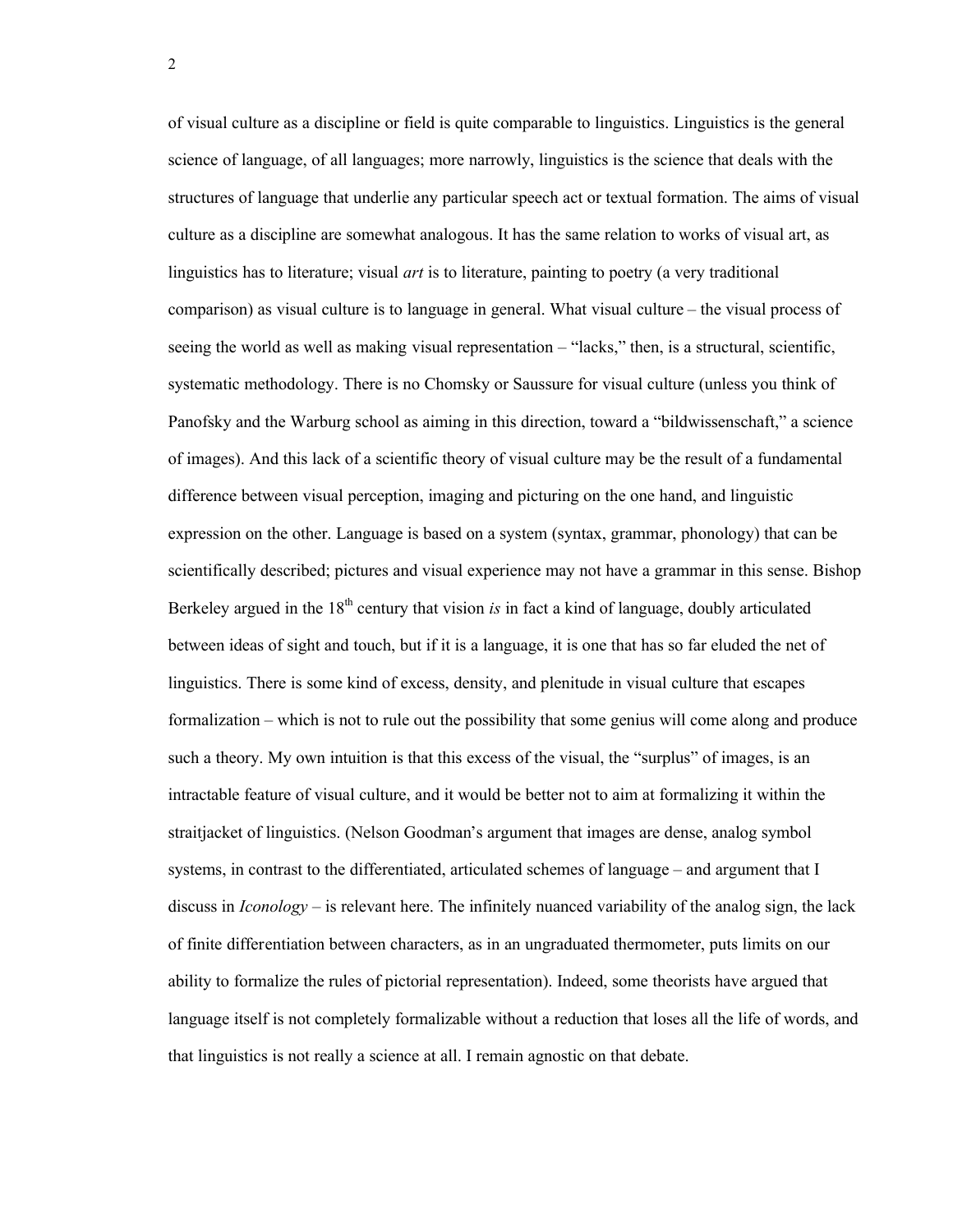of visual culture as a discipline or field is quite comparable to linguistics. Linguistics is the general science of language, of all languages; more narrowly, linguistics is the science that deals with the structures of language that underlie any particular speech act or textual formation. The aims of visual culture as a discipline are somewhat analogous. It has the same relation to works of visual art, as linguistics has to literature; visual *art* is to literature, painting to poetry (a very traditional comparison) as visual culture is to language in general. What visual culture – the visual process of seeing the world as well as making visual representation – "lacks," then, is a structural, scientific, systematic methodology. There is no Chomsky or Saussure for visual culture (unless you think of Panofsky and the Warburg school as aiming in this direction, toward a "bildwissenschaft," a science of images). And this lack of a scientific theory of visual culture may be the result of a fundamental difference between visual perception, imaging and picturing on the one hand, and linguistic expression on the other. Language is based on a system (syntax, grammar, phonology) that can be scientifically described; pictures and visual experience may not have a grammar in this sense. Bishop Berkeley argued in the 18<sup>th</sup> century that vision *is* in fact a kind of language, doubly articulated between ideas of sight and touch, but if it is a language, it is one that has so far eluded the net of linguistics. There is some kind of excess, density, and plenitude in visual culture that escapes formalization – which is not to rule out the possibility that some genius will come along and produce such a theory. My own intuition is that this excess of the visual, the "surplus" of images, is an intractable feature of visual culture, and it would be better not to aim at formalizing it within the straitjacket of linguistics. (Nelson Goodman's argument that images are dense, analog symbol systems, in contrast to the differentiated, articulated schemes of language – and argument that I discuss in *Iconology* – is relevant here. The infinitely nuanced variability of the analog sign, the lack of finite differentiation between characters, as in an ungraduated thermometer, puts limits on our ability to formalize the rules of pictorial representation). Indeed, some theorists have argued that language itself is not completely formalizable without a reduction that loses all the life of words, and that linguistics is not really a science at all. I remain agnostic on that debate.

2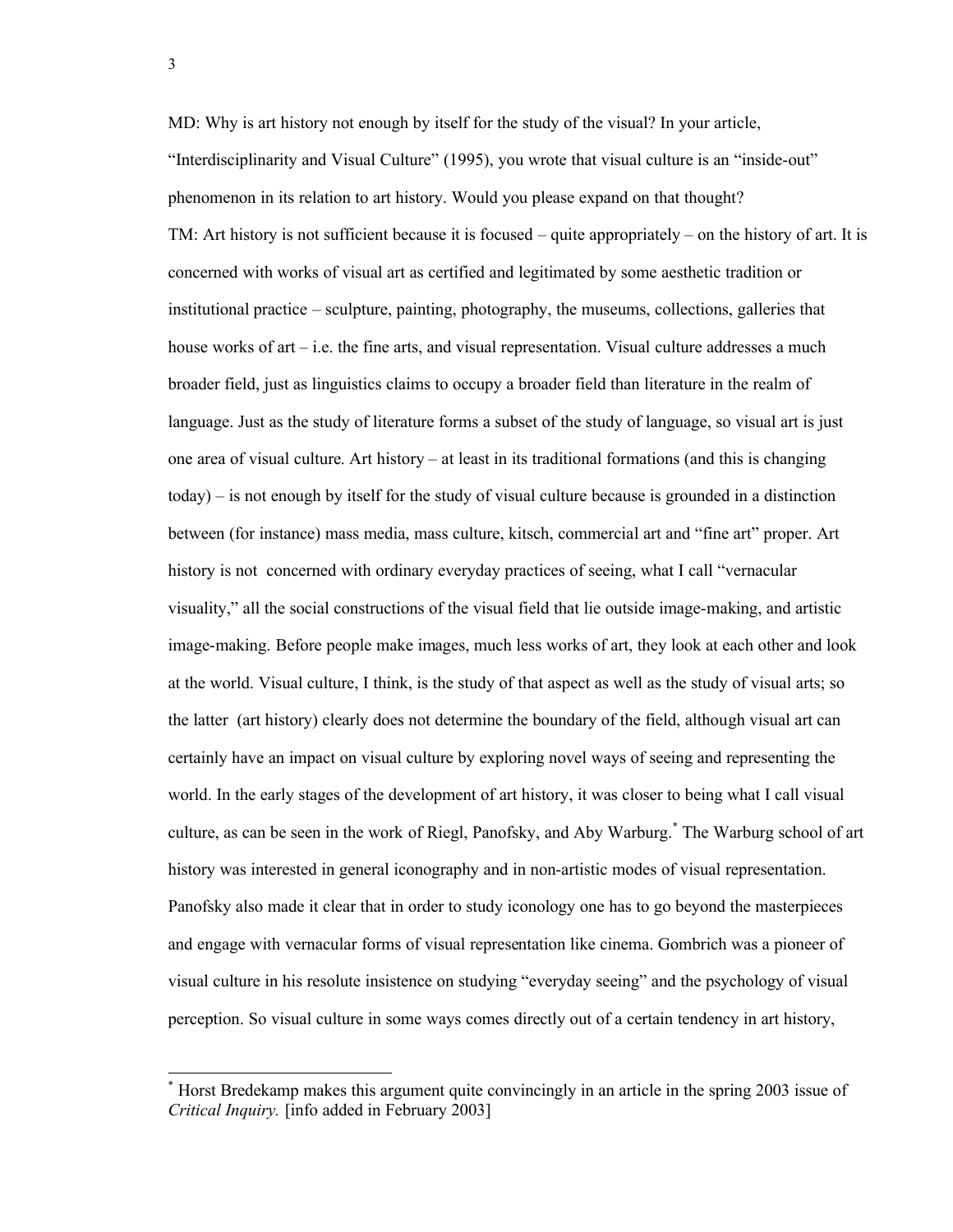MD: Why is art history not enough by itself for the study of the visual? In your article, "Interdisciplinarity and Visual Culture" (1995), you wrote that visual culture is an "inside-out" phenomenon in its relation to art history. Would you please expand on that thought? TM: Art history is not sufficient because it is focused – quite appropriately – on the history of art. It is concerned with works of visual art as certified and legitimated by some aesthetic tradition or institutional practice – sculpture, painting, photography, the museums, collections, galleries that house works of art – i.e. the fine arts, and visual representation. Visual culture addresses a much broader field, just as linguistics claims to occupy a broader field than literature in the realm of language. Just as the study of literature forms a subset of the study of language, so visual art is just one area of visual culture. Art history – at least in its traditional formations (and this is changing today) – is not enough by itself for the study of visual culture because is grounded in a distinction between (for instance) mass media, mass culture, kitsch, commercial art and "fine art" proper. Art history is not concerned with ordinary everyday practices of seeing, what I call "vernacular visuality," all the social constructions of the visual field that lie outside image-making, and artistic image-making. Before people make images, much less works of art, they look at each other and look at the world. Visual culture, I think, is the study of that aspect as well as the study of visual arts; so the latter (art history) clearly does not determine the boundary of the field, although visual art can certainly have an impact on visual culture by exploring novel ways of seeing and representing the world. In the early stages of the development of art history, it was closer to being what I call visual culture, as can be seen in the work of Riegl, Panofsky, and Aby Warburg.\* The Warburg school of art history was interested in general iconography and in non-artistic modes of visual representation. Panofsky also made it clear that in order to study iconology one has to go beyond the masterpieces and engage with vernacular forms of visual representation like cinema. Gombrich was a pioneer of visual culture in his resolute insistence on studying "everyday seeing" and the psychology of visual perception. So visual culture in some ways comes directly out of a certain tendency in art history,

 $\overline{a}$ 

<sup>\*</sup> Horst Bredekamp makes this argument quite convincingly in an article in the spring 2003 issue of *Critical Inquiry.* [info added in February 2003]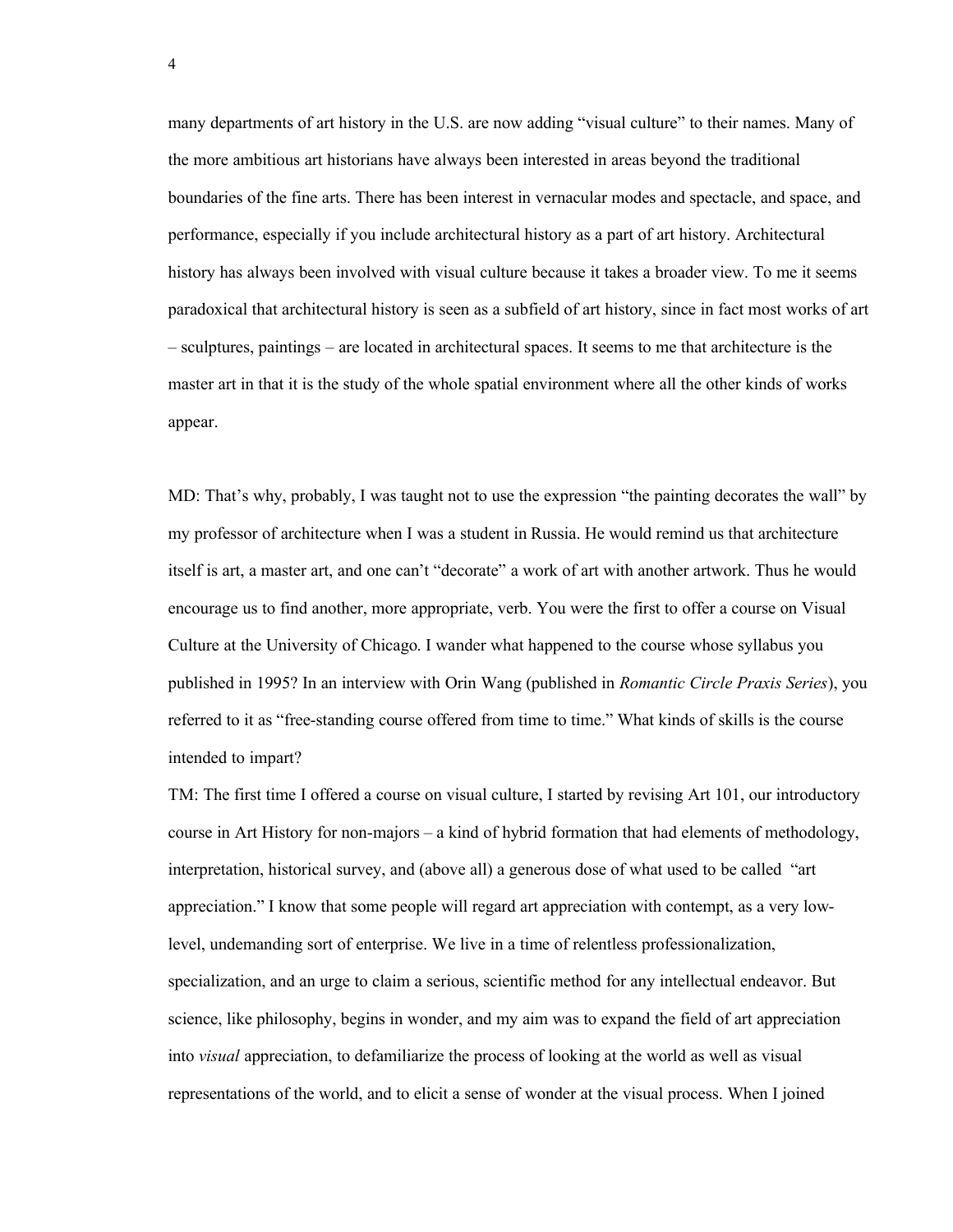many departments of art history in the U.S. are now adding "visual culture" to their names. Many of the more ambitious art historians have always been interested in areas beyond the traditional boundaries of the fine arts. There has been interest in vernacular modes and spectacle, and space, and performance, especially if you include architectural history as a part of art history. Architectural history has always been involved with visual culture because it takes a broader view. To me it seems paradoxical that architectural history is seen as a subfield of art history, since in fact most works of art – sculptures, paintings – are located in architectural spaces. It seems to me that architecture is the master art in that it is the study of the whole spatial environment where all the other kinds of works appear.

MD: That's why, probably, I was taught not to use the expression "the painting decorates the wall" by my professor of architecture when I was a student in Russia. He would remind us that architecture itself is art, a master art, and one can't "decorate" a work of art with another artwork. Thus he would encourage us to find another, more appropriate, verb. You were the first to offer a course on Visual Culture at the University of Chicago. I wander what happened to the course whose syllabus you published in 1995? In an interview with Orin Wang (published in *Romantic Circle Praxis Series*), you referred to it as "free-standing course offered from time to time." What kinds of skills is the course intended to impart?

TM: The first time I offered a course on visual culture, I started by revising Art 101, our introductory course in Art History for non-majors – a kind of hybrid formation that had elements of methodology, interpretation, historical survey, and (above all) a generous dose of what used to be called "art appreciation." I know that some people will regard art appreciation with contempt, as a very lowlevel, undemanding sort of enterprise. We live in a time of relentless professionalization, specialization, and an urge to claim a serious, scientific method for any intellectual endeavor. But science, like philosophy, begins in wonder, and my aim was to expand the field of art appreciation into *visual* appreciation, to defamiliarize the process of looking at the world as well as visual representations of the world, and to elicit a sense of wonder at the visual process. When I joined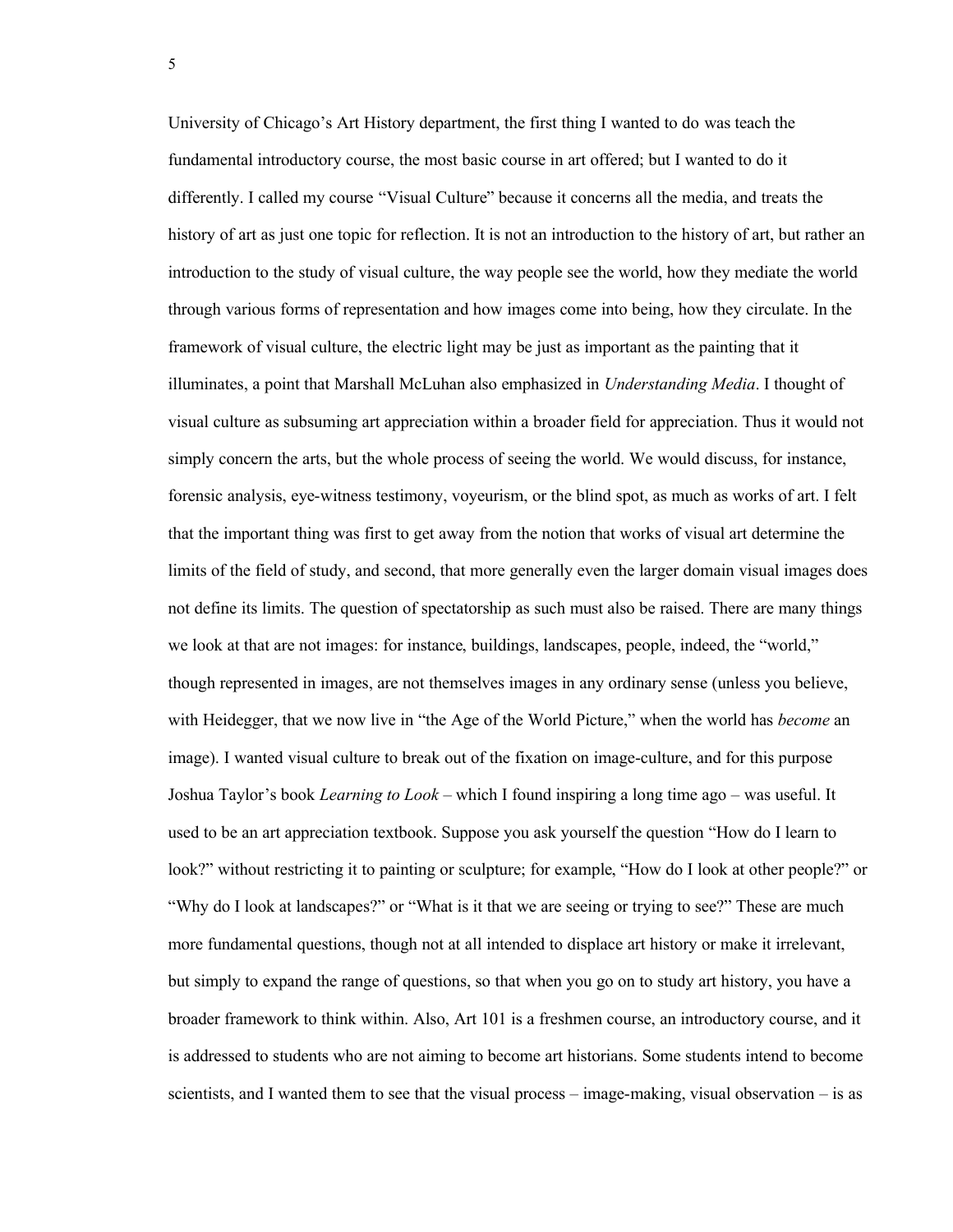University of Chicago's Art History department, the first thing I wanted to do was teach the fundamental introductory course, the most basic course in art offered; but I wanted to do it differently. I called my course "Visual Culture" because it concerns all the media, and treats the history of art as just one topic for reflection. It is not an introduction to the history of art, but rather an introduction to the study of visual culture, the way people see the world, how they mediate the world through various forms of representation and how images come into being, how they circulate. In the framework of visual culture, the electric light may be just as important as the painting that it illuminates, a point that Marshall McLuhan also emphasized in *Understanding Media*. I thought of visual culture as subsuming art appreciation within a broader field for appreciation. Thus it would not simply concern the arts, but the whole process of seeing the world. We would discuss, for instance, forensic analysis, eye-witness testimony, voyeurism, or the blind spot, as much as works of art. I felt that the important thing was first to get away from the notion that works of visual art determine the limits of the field of study, and second, that more generally even the larger domain visual images does not define its limits. The question of spectatorship as such must also be raised. There are many things we look at that are not images: for instance, buildings, landscapes, people, indeed, the "world," though represented in images, are not themselves images in any ordinary sense (unless you believe, with Heidegger, that we now live in "the Age of the World Picture," when the world has *become* an image). I wanted visual culture to break out of the fixation on image-culture, and for this purpose Joshua Taylor's book *Learning to Look* – which I found inspiring a long time ago – was useful. It used to be an art appreciation textbook. Suppose you ask yourself the question "How do I learn to look?" without restricting it to painting or sculpture; for example, "How do I look at other people?" or "Why do I look at landscapes?" or "What is it that we are seeing or trying to see?" These are much more fundamental questions, though not at all intended to displace art history or make it irrelevant, but simply to expand the range of questions, so that when you go on to study art history, you have a broader framework to think within. Also, Art 101 is a freshmen course, an introductory course, and it is addressed to students who are not aiming to become art historians. Some students intend to become scientists, and I wanted them to see that the visual process – image-making, visual observation – is as

5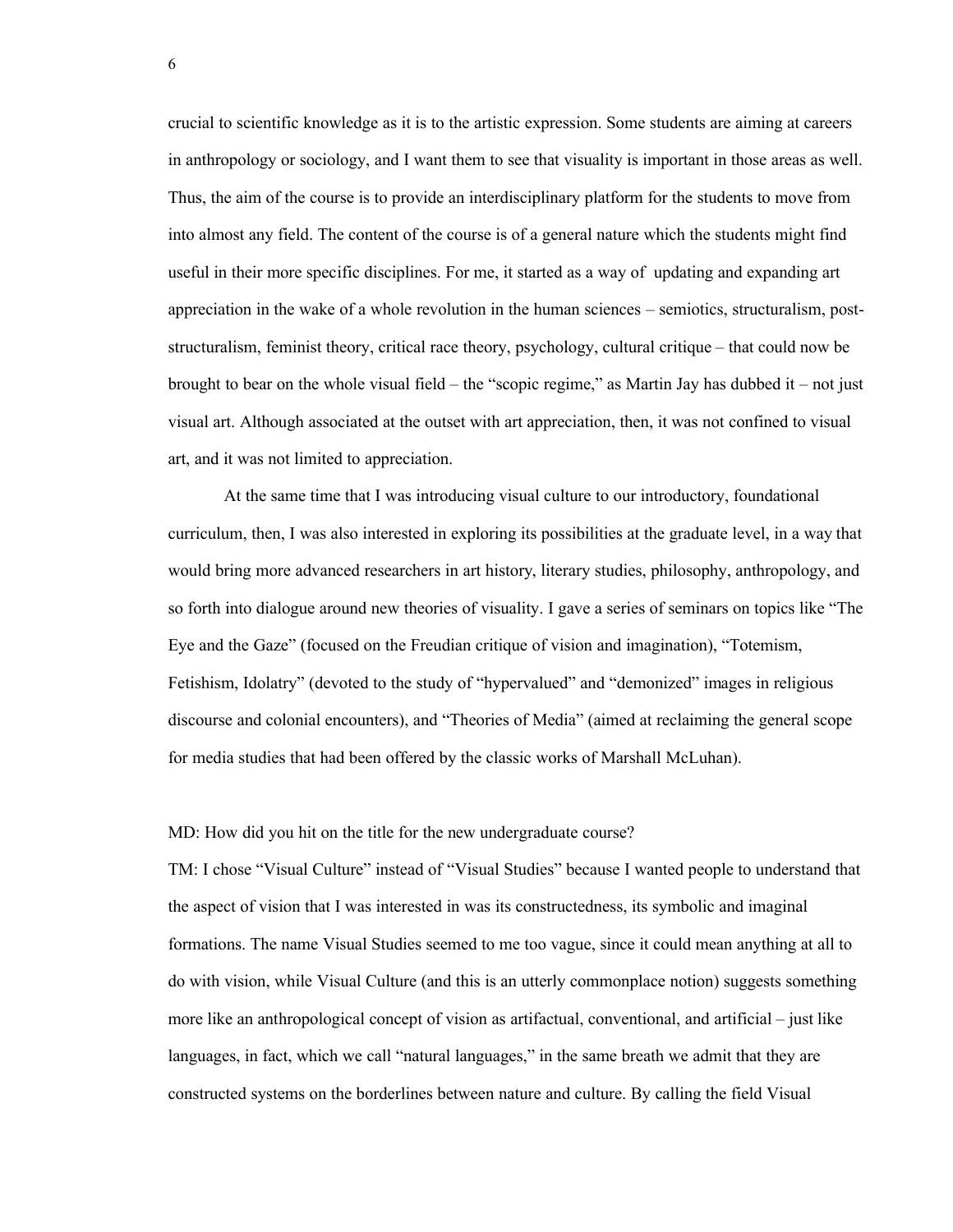crucial to scientific knowledge as it is to the artistic expression. Some students are aiming at careers in anthropology or sociology, and I want them to see that visuality is important in those areas as well. Thus, the aim of the course is to provide an interdisciplinary platform for the students to move from into almost any field. The content of the course is of a general nature which the students might find useful in their more specific disciplines. For me, it started as a way of updating and expanding art appreciation in the wake of a whole revolution in the human sciences – semiotics, structuralism, poststructuralism, feminist theory, critical race theory, psychology, cultural critique – that could now be brought to bear on the whole visual field – the "scopic regime," as Martin Jay has dubbed it – not just visual art. Although associated at the outset with art appreciation, then, it was not confined to visual art, and it was not limited to appreciation.

At the same time that I was introducing visual culture to our introductory, foundational curriculum, then, I was also interested in exploring its possibilities at the graduate level, in a way that would bring more advanced researchers in art history, literary studies, philosophy, anthropology, and so forth into dialogue around new theories of visuality. I gave a series of seminars on topics like "The Eye and the Gaze" (focused on the Freudian critique of vision and imagination), "Totemism, Fetishism, Idolatry" (devoted to the study of "hypervalued" and "demonized" images in religious discourse and colonial encounters), and "Theories of Media" (aimed at reclaiming the general scope for media studies that had been offered by the classic works of Marshall McLuhan).

## MD: How did you hit on the title for the new undergraduate course?

TM: I chose "Visual Culture" instead of "Visual Studies" because I wanted people to understand that the aspect of vision that I was interested in was its constructedness, its symbolic and imaginal formations. The name Visual Studies seemed to me too vague, since it could mean anything at all to do with vision, while Visual Culture (and this is an utterly commonplace notion) suggests something more like an anthropological concept of vision as artifactual, conventional, and artificial – just like languages, in fact, which we call "natural languages," in the same breath we admit that they are constructed systems on the borderlines between nature and culture. By calling the field Visual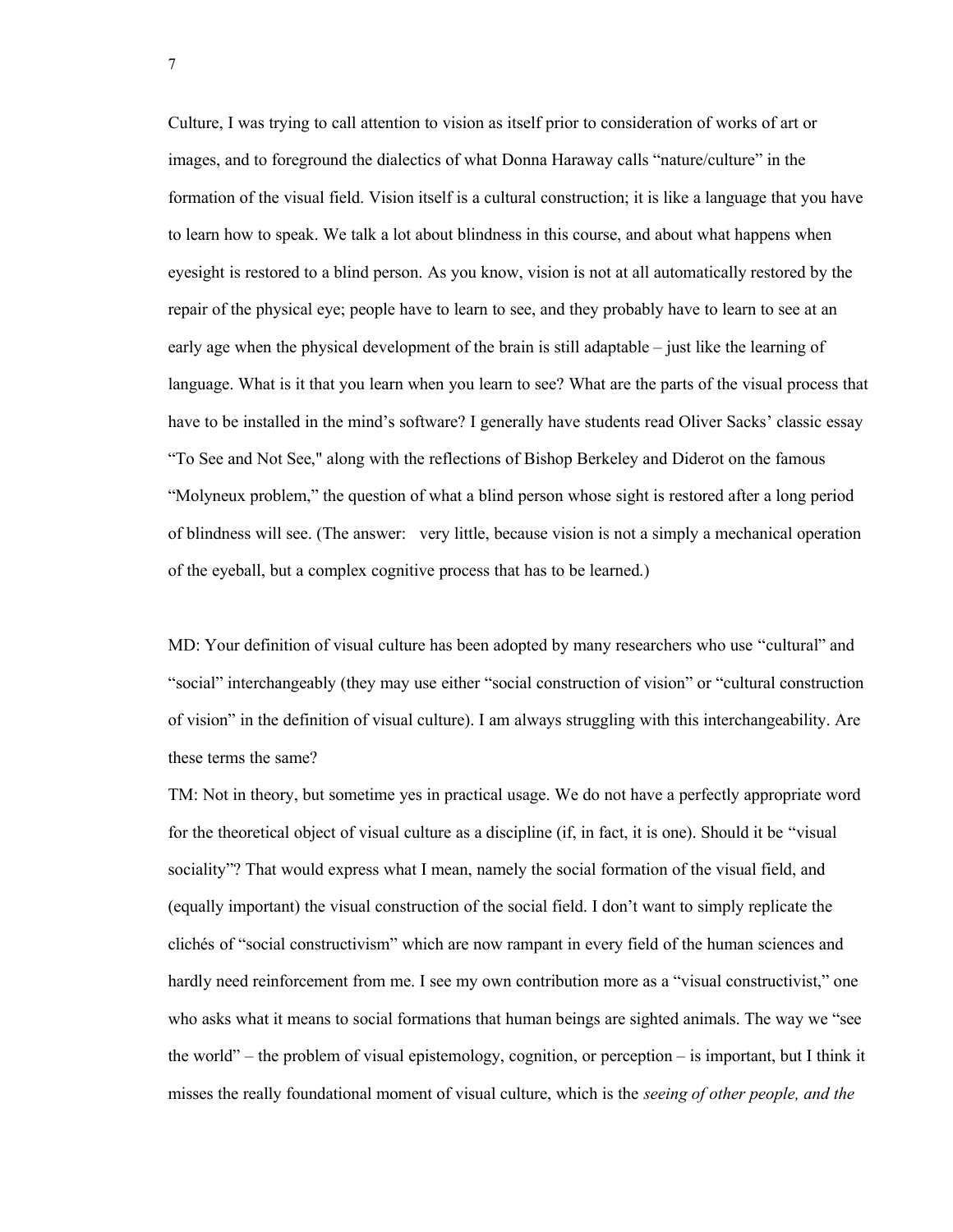Culture, I was trying to call attention to vision as itself prior to consideration of works of art or images, and to foreground the dialectics of what Donna Haraway calls "nature/culture" in the formation of the visual field. Vision itself is a cultural construction; it is like a language that you have to learn how to speak. We talk a lot about blindness in this course, and about what happens when eyesight is restored to a blind person. As you know, vision is not at all automatically restored by the repair of the physical eye; people have to learn to see, and they probably have to learn to see at an early age when the physical development of the brain is still adaptable – just like the learning of language. What is it that you learn when you learn to see? What are the parts of the visual process that have to be installed in the mind's software? I generally have students read Oliver Sacks' classic essay "To See and Not See," along with the reflections of Bishop Berkeley and Diderot on the famous "Molyneux problem," the question of what a blind person whose sight is restored after a long period of blindness will see. (The answer: very little, because vision is not a simply a mechanical operation of the eyeball, but a complex cognitive process that has to be learned.)

MD: Your definition of visual culture has been adopted by many researchers who use "cultural" and "social" interchangeably (they may use either "social construction of vision" or "cultural construction of vision" in the definition of visual culture). I am always struggling with this interchangeability. Are these terms the same?

TM: Not in theory, but sometime yes in practical usage. We do not have a perfectly appropriate word for the theoretical object of visual culture as a discipline (if, in fact, it is one). Should it be "visual sociality"? That would express what I mean, namely the social formation of the visual field, and (equally important) the visual construction of the social field. I don't want to simply replicate the clichés of "social constructivism" which are now rampant in every field of the human sciences and hardly need reinforcement from me. I see my own contribution more as a "visual constructivist," one who asks what it means to social formations that human beings are sighted animals. The way we "see the world" – the problem of visual epistemology, cognition, or perception – is important, but I think it misses the really foundational moment of visual culture, which is the *seeing of other people, and the*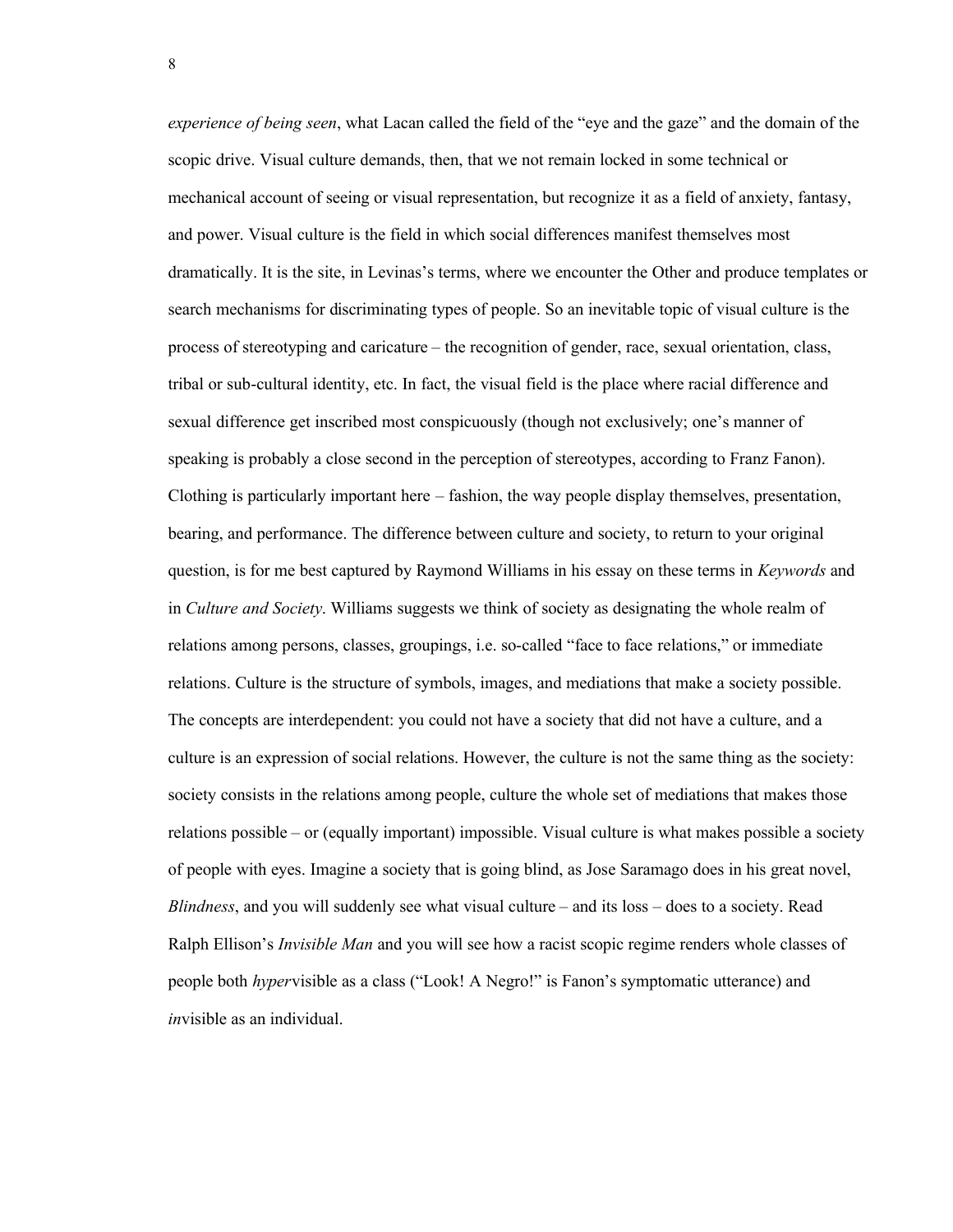*experience of being seen*, what Lacan called the field of the "eye and the gaze" and the domain of the scopic drive. Visual culture demands, then, that we not remain locked in some technical or mechanical account of seeing or visual representation, but recognize it as a field of anxiety, fantasy, and power. Visual culture is the field in which social differences manifest themselves most dramatically. It is the site, in Levinas's terms, where we encounter the Other and produce templates or search mechanisms for discriminating types of people. So an inevitable topic of visual culture is the process of stereotyping and caricature – the recognition of gender, race, sexual orientation, class, tribal or sub-cultural identity, etc. In fact, the visual field is the place where racial difference and sexual difference get inscribed most conspicuously (though not exclusively; one's manner of speaking is probably a close second in the perception of stereotypes, according to Franz Fanon). Clothing is particularly important here – fashion, the way people display themselves, presentation, bearing, and performance. The difference between culture and society, to return to your original question, is for me best captured by Raymond Williams in his essay on these terms in *Keywords* and in *Culture and Society*. Williams suggests we think of society as designating the whole realm of relations among persons, classes, groupings, i.e. so-called "face to face relations," or immediate relations. Culture is the structure of symbols, images, and mediations that make a society possible. The concepts are interdependent: you could not have a society that did not have a culture, and a culture is an expression of social relations. However, the culture is not the same thing as the society: society consists in the relations among people, culture the whole set of mediations that makes those relations possible – or (equally important) impossible. Visual culture is what makes possible a society of people with eyes. Imagine a society that is going blind, as Jose Saramago does in his great novel, *Blindness*, and you will suddenly see what visual culture – and its loss – does to a society. Read Ralph Ellison's *Invisible Man* and you will see how a racist scopic regime renders whole classes of people both *hyper*visible as a class ("Look! A Negro!" is Fanon's symptomatic utterance) and *in*visible as an individual.

8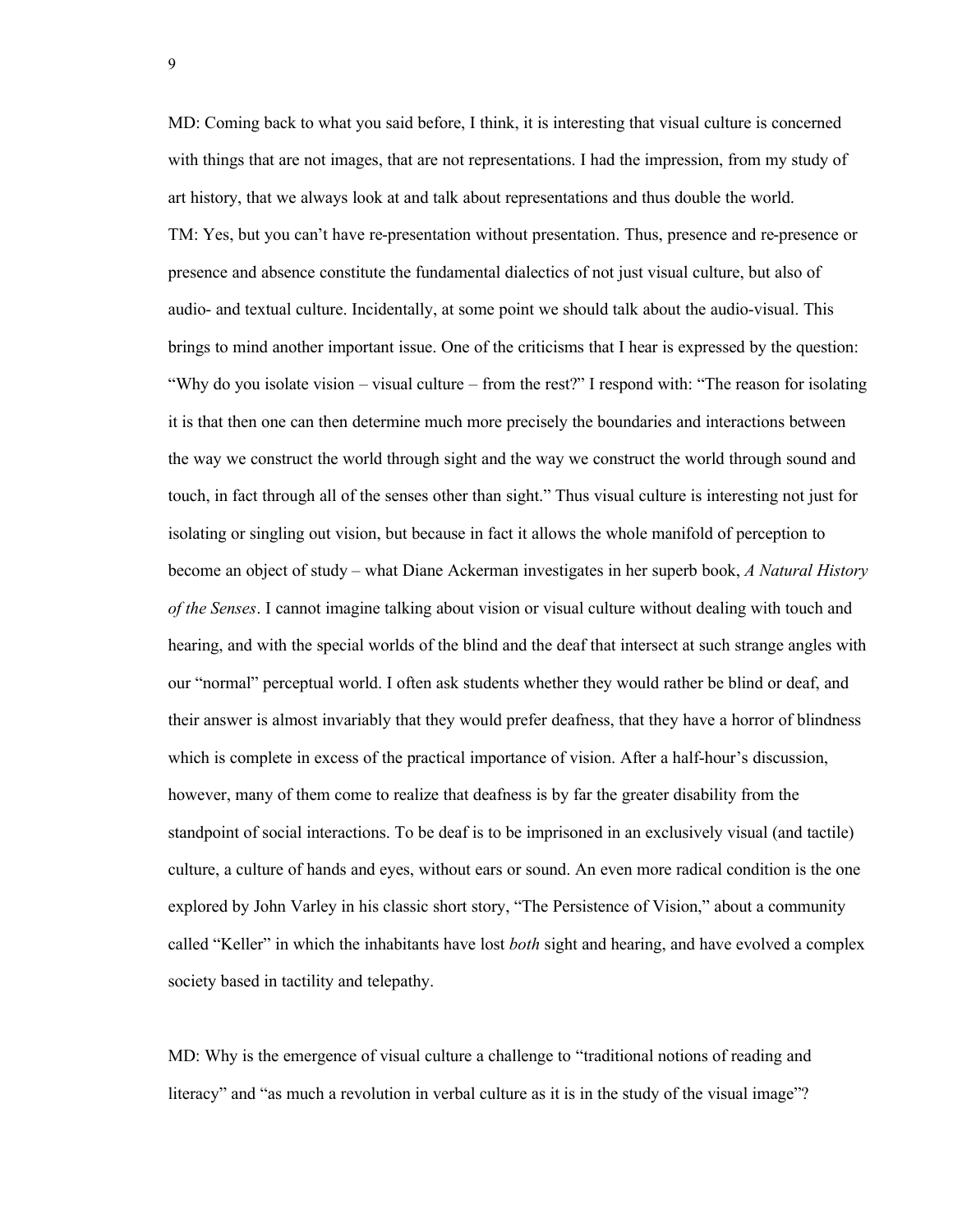MD: Coming back to what you said before, I think, it is interesting that visual culture is concerned with things that are not images, that are not representations. I had the impression, from my study of art history, that we always look at and talk about representations and thus double the world. TM: Yes, but you can't have re-presentation without presentation. Thus, presence and re-presence or presence and absence constitute the fundamental dialectics of not just visual culture, but also of audio- and textual culture. Incidentally, at some point we should talk about the audio-visual. This brings to mind another important issue. One of the criticisms that I hear is expressed by the question: "Why do you isolate vision – visual culture – from the rest?" I respond with: "The reason for isolating it is that then one can then determine much more precisely the boundaries and interactions between the way we construct the world through sight and the way we construct the world through sound and touch, in fact through all of the senses other than sight." Thus visual culture is interesting not just for isolating or singling out vision, but because in fact it allows the whole manifold of perception to become an object of study – what Diane Ackerman investigates in her superb book, *A Natural History of the Senses*. I cannot imagine talking about vision or visual culture without dealing with touch and hearing, and with the special worlds of the blind and the deaf that intersect at such strange angles with our "normal" perceptual world. I often ask students whether they would rather be blind or deaf, and their answer is almost invariably that they would prefer deafness, that they have a horror of blindness which is complete in excess of the practical importance of vision. After a half-hour's discussion, however, many of them come to realize that deafness is by far the greater disability from the standpoint of social interactions. To be deaf is to be imprisoned in an exclusively visual (and tactile) culture, a culture of hands and eyes, without ears or sound. An even more radical condition is the one explored by John Varley in his classic short story, "The Persistence of Vision," about a community called "Keller" in which the inhabitants have lost *both* sight and hearing, and have evolved a complex society based in tactility and telepathy.

MD: Why is the emergence of visual culture a challenge to "traditional notions of reading and literacy" and "as much a revolution in verbal culture as it is in the study of the visual image"?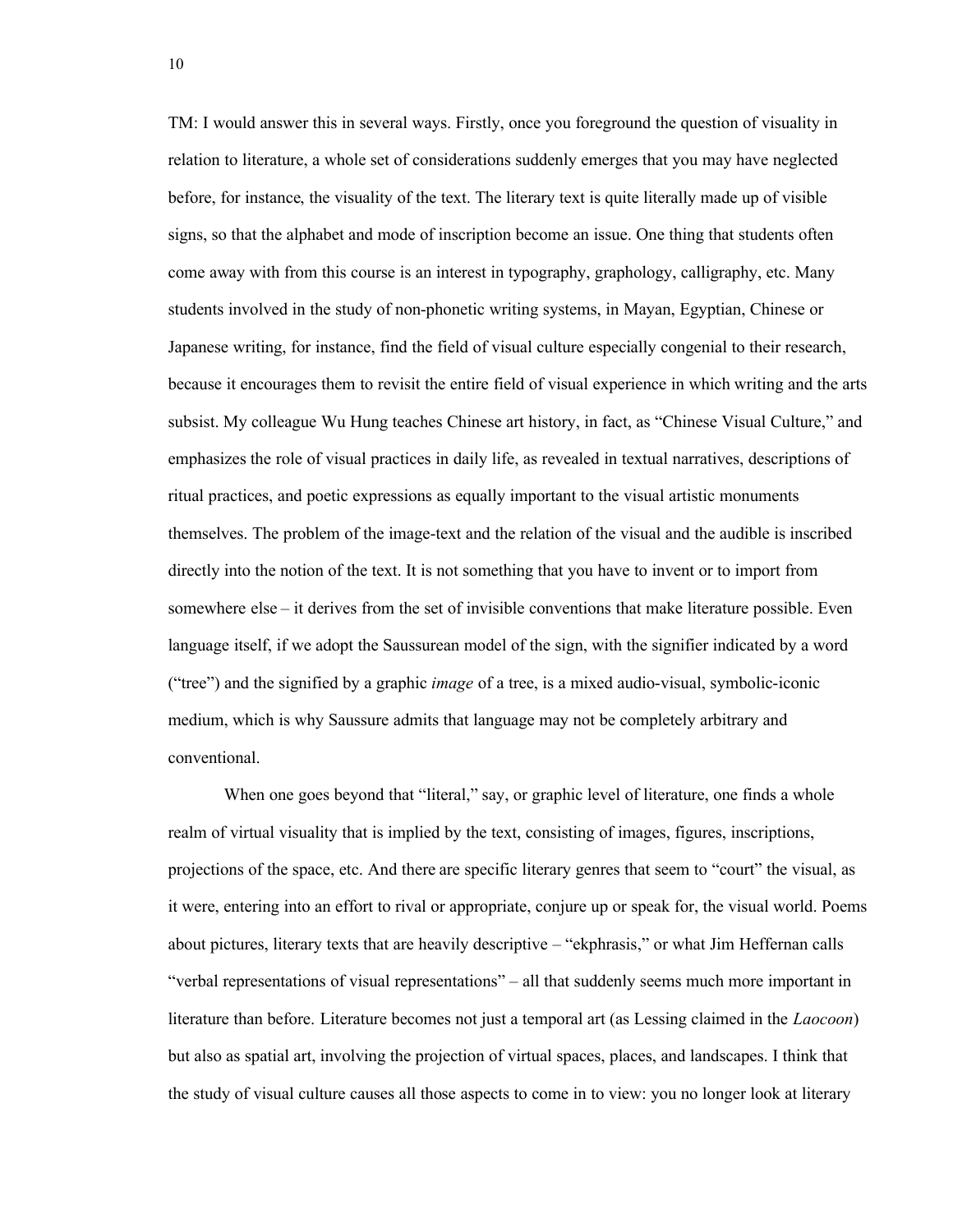TM: I would answer this in several ways. Firstly, once you foreground the question of visuality in relation to literature, a whole set of considerations suddenly emerges that you may have neglected before, for instance, the visuality of the text. The literary text is quite literally made up of visible signs, so that the alphabet and mode of inscription become an issue. One thing that students often come away with from this course is an interest in typography, graphology, calligraphy, etc. Many students involved in the study of non-phonetic writing systems, in Mayan, Egyptian, Chinese or Japanese writing, for instance, find the field of visual culture especially congenial to their research, because it encourages them to revisit the entire field of visual experience in which writing and the arts subsist. My colleague Wu Hung teaches Chinese art history, in fact, as "Chinese Visual Culture," and emphasizes the role of visual practices in daily life, as revealed in textual narratives, descriptions of ritual practices, and poetic expressions as equally important to the visual artistic monuments themselves. The problem of the image-text and the relation of the visual and the audible is inscribed directly into the notion of the text. It is not something that you have to invent or to import from somewhere else – it derives from the set of invisible conventions that make literature possible. Even language itself, if we adopt the Saussurean model of the sign, with the signifier indicated by a word ("tree") and the signified by a graphic *image* of a tree, is a mixed audio-visual, symbolic-iconic medium, which is why Saussure admits that language may not be completely arbitrary and conventional.

When one goes beyond that "literal," say, or graphic level of literature, one finds a whole realm of virtual visuality that is implied by the text, consisting of images, figures, inscriptions, projections of the space, etc. And there are specific literary genres that seem to "court" the visual, as it were, entering into an effort to rival or appropriate, conjure up or speak for, the visual world. Poems about pictures, literary texts that are heavily descriptive – "ekphrasis," or what Jim Heffernan calls "verbal representations of visual representations" – all that suddenly seems much more important in literature than before. Literature becomes not just a temporal art (as Lessing claimed in the *Laocoon*) but also as spatial art, involving the projection of virtual spaces, places, and landscapes. I think that the study of visual culture causes all those aspects to come in to view: you no longer look at literary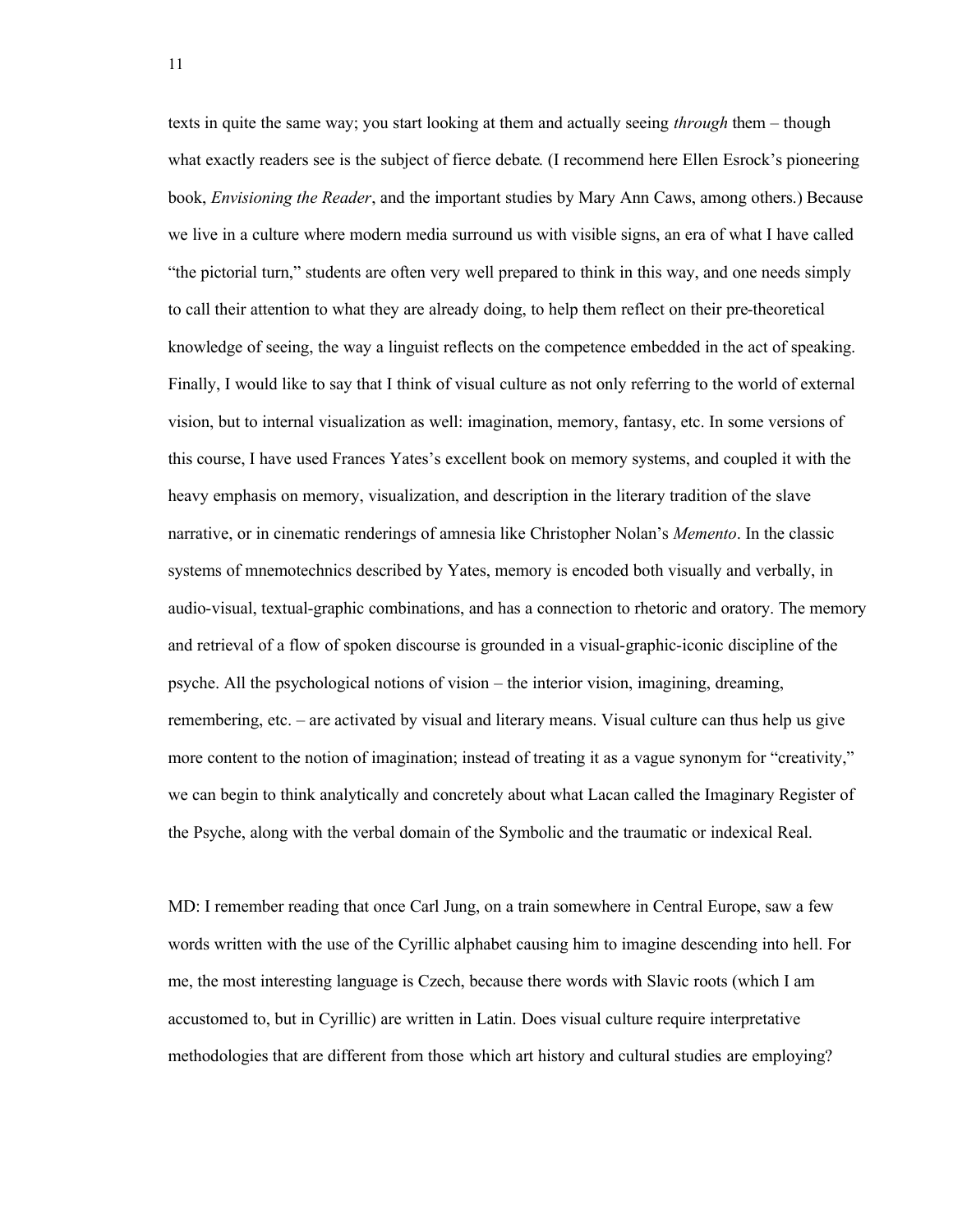texts in quite the same way; you start looking at them and actually seeing *through* them – though what exactly readers see is the subject of fierce debate. (I recommend here Ellen Esrock's pioneering book, *Envisioning the Reader*, and the important studies by Mary Ann Caws, among others.) Because we live in a culture where modern media surround us with visible signs, an era of what I have called "the pictorial turn," students are often very well prepared to think in this way, and one needs simply to call their attention to what they are already doing, to help them reflect on their pre-theoretical knowledge of seeing, the way a linguist reflects on the competence embedded in the act of speaking. Finally, I would like to say that I think of visual culture as not only referring to the world of external vision, but to internal visualization as well: imagination, memory, fantasy, etc. In some versions of this course, I have used Frances Yates's excellent book on memory systems, and coupled it with the heavy emphasis on memory, visualization, and description in the literary tradition of the slave narrative, or in cinematic renderings of amnesia like Christopher Nolan's *Memento*. In the classic systems of mnemotechnics described by Yates, memory is encoded both visually and verbally, in audio-visual, textual-graphic combinations, and has a connection to rhetoric and oratory. The memory and retrieval of a flow of spoken discourse is grounded in a visual-graphic-iconic discipline of the psyche. All the psychological notions of vision – the interior vision, imagining, dreaming, remembering, etc. – are activated by visual and literary means. Visual culture can thus help us give more content to the notion of imagination; instead of treating it as a vague synonym for "creativity," we can begin to think analytically and concretely about what Lacan called the Imaginary Register of the Psyche, along with the verbal domain of the Symbolic and the traumatic or indexical Real.

MD: I remember reading that once Carl Jung, on a train somewhere in Central Europe, saw a few words written with the use of the Cyrillic alphabet causing him to imagine descending into hell. For me, the most interesting language is Czech, because there words with Slavic roots (which I am accustomed to, but in Cyrillic) are written in Latin. Does visual culture require interpretative methodologies that are different from those which art history and cultural studies are employing?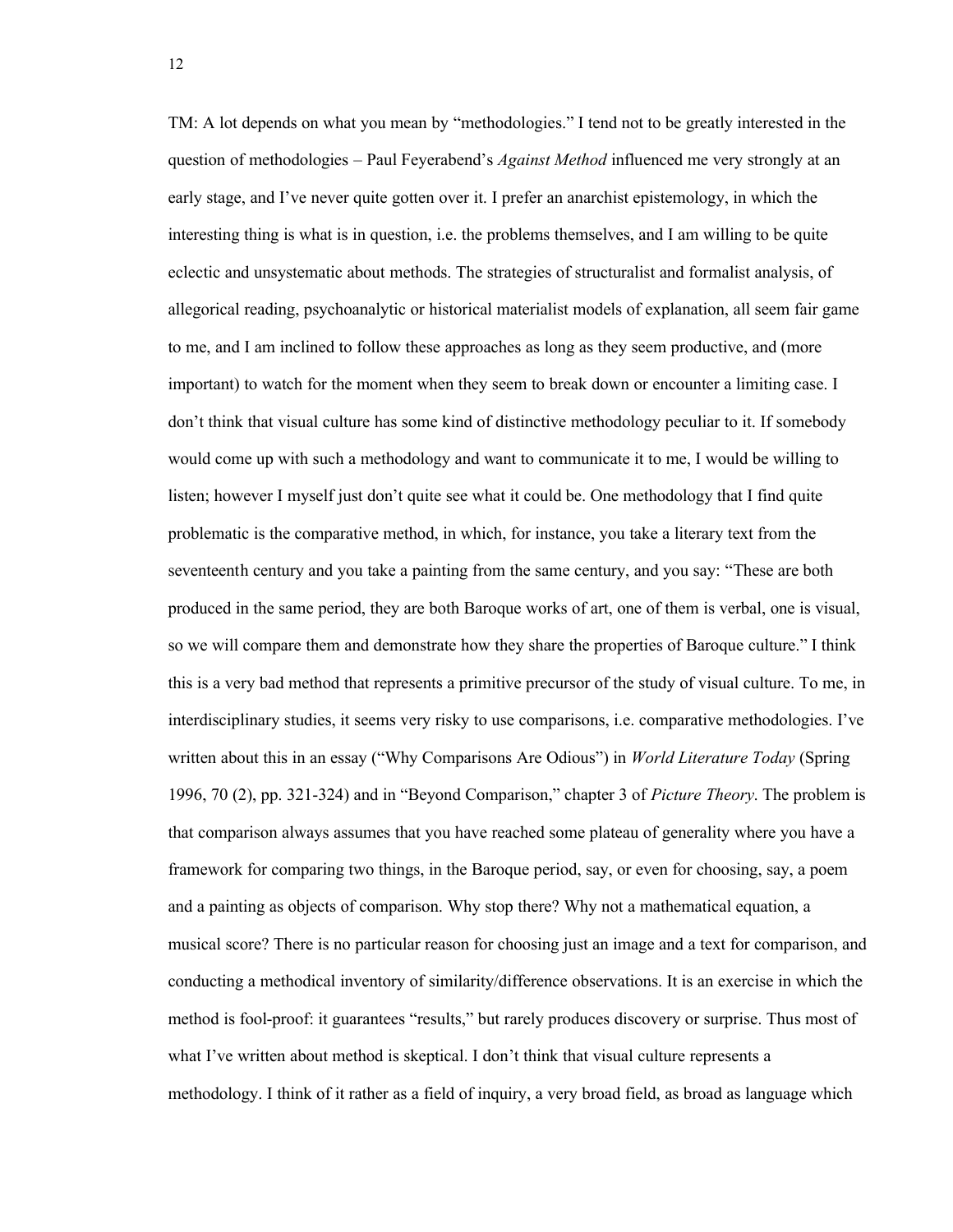TM: A lot depends on what you mean by "methodologies." I tend not to be greatly interested in the question of methodologies – Paul Feyerabend's *Against Method* influenced me very strongly at an early stage, and I've never quite gotten over it. I prefer an anarchist epistemology, in which the interesting thing is what is in question, i.e. the problems themselves, and I am willing to be quite eclectic and unsystematic about methods. The strategies of structuralist and formalist analysis, of allegorical reading, psychoanalytic or historical materialist models of explanation, all seem fair game to me, and I am inclined to follow these approaches as long as they seem productive, and (more important) to watch for the moment when they seem to break down or encounter a limiting case. I don't think that visual culture has some kind of distinctive methodology peculiar to it. If somebody would come up with such a methodology and want to communicate it to me, I would be willing to listen; however I myself just don't quite see what it could be. One methodology that I find quite problematic is the comparative method, in which, for instance, you take a literary text from the seventeenth century and you take a painting from the same century, and you say: "These are both produced in the same period, they are both Baroque works of art, one of them is verbal, one is visual, so we will compare them and demonstrate how they share the properties of Baroque culture." I think this is a very bad method that represents a primitive precursor of the study of visual culture. To me, in interdisciplinary studies, it seems very risky to use comparisons, i.e. comparative methodologies. I've written about this in an essay ("Why Comparisons Are Odious") in *World Literature Today* (Spring 1996, 70 (2), pp. 321-324) and in "Beyond Comparison," chapter 3 of *Picture Theory*. The problem is that comparison always assumes that you have reached some plateau of generality where you have a framework for comparing two things, in the Baroque period, say, or even for choosing, say, a poem and a painting as objects of comparison. Why stop there? Why not a mathematical equation, a musical score? There is no particular reason for choosing just an image and a text for comparison, and conducting a methodical inventory of similarity/difference observations. It is an exercise in which the method is fool-proof: it guarantees "results," but rarely produces discovery or surprise. Thus most of what I've written about method is skeptical. I don't think that visual culture represents a methodology. I think of it rather as a field of inquiry, a very broad field, as broad as language which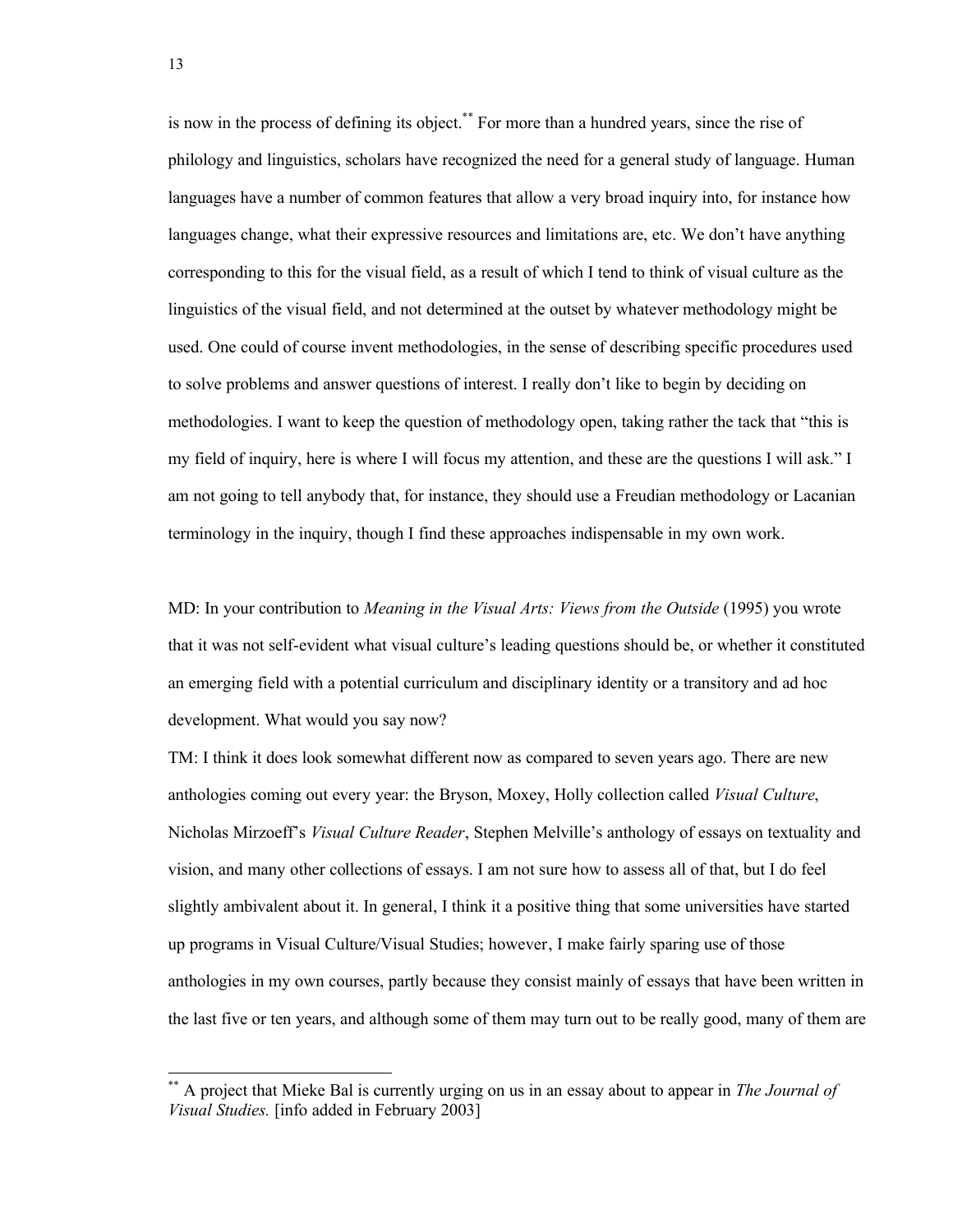is now in the process of defining its object.\*\* For more than a hundred years, since the rise of philology and linguistics, scholars have recognized the need for a general study of language. Human languages have a number of common features that allow a very broad inquiry into, for instance how languages change, what their expressive resources and limitations are, etc. We don't have anything corresponding to this for the visual field, as a result of which I tend to think of visual culture as the linguistics of the visual field, and not determined at the outset by whatever methodology might be used. One could of course invent methodologies, in the sense of describing specific procedures used to solve problems and answer questions of interest. I really don't like to begin by deciding on methodologies. I want to keep the question of methodology open, taking rather the tack that "this is my field of inquiry, here is where I will focus my attention, and these are the questions I will ask." I am not going to tell anybody that, for instance, they should use a Freudian methodology or Lacanian terminology in the inquiry, though I find these approaches indispensable in my own work.

MD: In your contribution to *Meaning in the Visual Arts: Views from the Outside* (1995) you wrote that it was not self-evident what visual culture's leading questions should be, or whether it constituted an emerging field with a potential curriculum and disciplinary identity or a transitory and ad hoc development. What would you say now?

TM: I think it does look somewhat different now as compared to seven years ago. There are new anthologies coming out every year: the Bryson, Moxey, Holly collection called *Visual Culture*, Nicholas Mirzoeff's *Visual Culture Reader*, Stephen Melville's anthology of essays on textuality and vision, and many other collections of essays. I am not sure how to assess all of that, but I do feel slightly ambivalent about it. In general, I think it a positive thing that some universities have started up programs in Visual Culture/Visual Studies; however, I make fairly sparing use of those anthologies in my own courses, partly because they consist mainly of essays that have been written in the last five or ten years, and although some of them may turn out to be really good, many of them are

-

<sup>\*\*</sup> A project that Mieke Bal is currently urging on us in an essay about to appear in *The Journal of Visual Studies.* [info added in February 2003]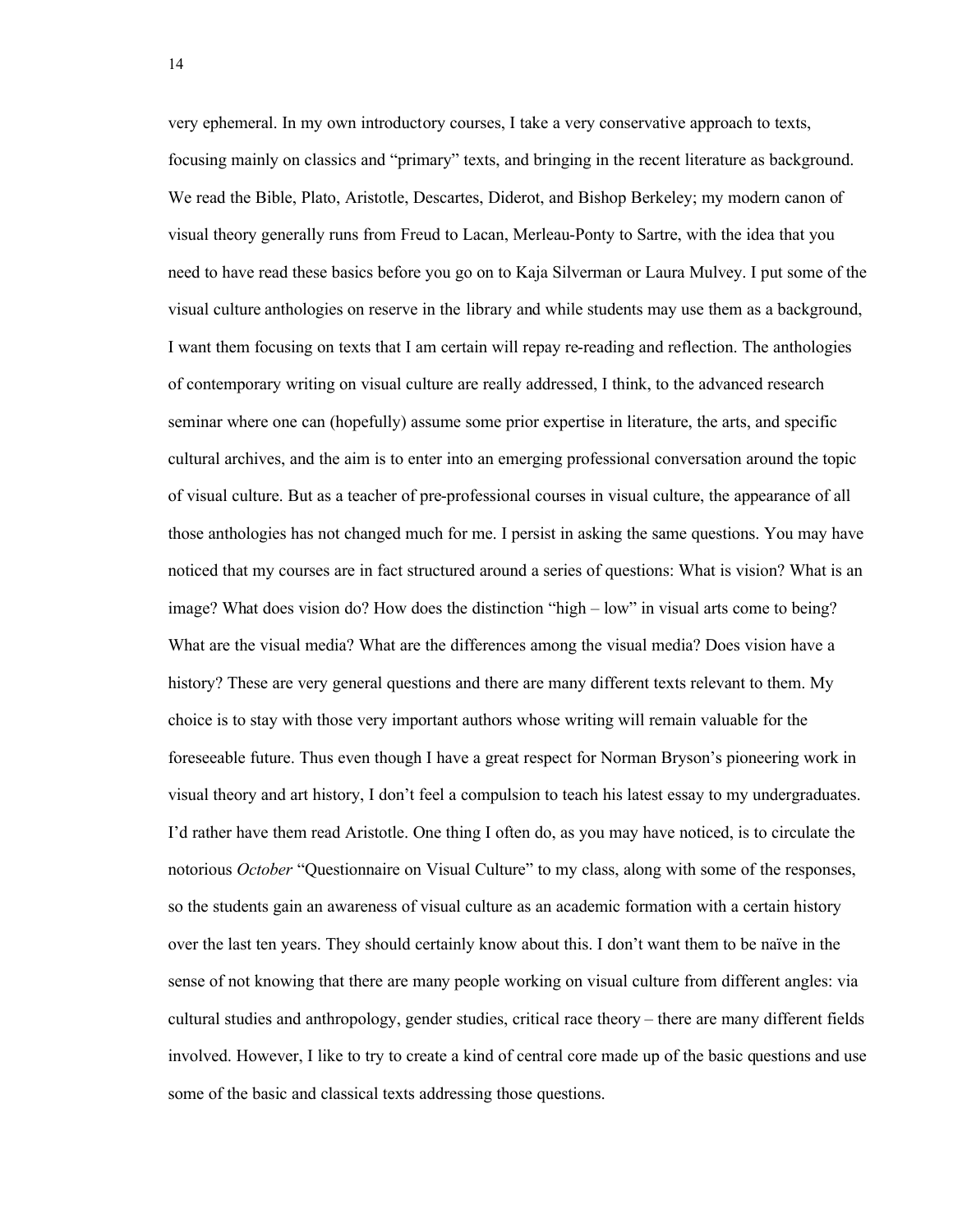very ephemeral. In my own introductory courses, I take a very conservative approach to texts, focusing mainly on classics and "primary" texts, and bringing in the recent literature as background. We read the Bible, Plato, Aristotle, Descartes, Diderot, and Bishop Berkeley; my modern canon of visual theory generally runs from Freud to Lacan, Merleau-Ponty to Sartre, with the idea that you need to have read these basics before you go on to Kaja Silverman or Laura Mulvey. I put some of the visual culture anthologies on reserve in the library and while students may use them as a background, I want them focusing on texts that I am certain will repay re-reading and reflection. The anthologies of contemporary writing on visual culture are really addressed, I think, to the advanced research seminar where one can (hopefully) assume some prior expertise in literature, the arts, and specific cultural archives, and the aim is to enter into an emerging professional conversation around the topic of visual culture. But as a teacher of pre-professional courses in visual culture, the appearance of all those anthologies has not changed much for me. I persist in asking the same questions. You may have noticed that my courses are in fact structured around a series of questions: What is vision? What is an image? What does vision do? How does the distinction "high – low" in visual arts come to being? What are the visual media? What are the differences among the visual media? Does vision have a history? These are very general questions and there are many different texts relevant to them. My choice is to stay with those very important authors whose writing will remain valuable for the foreseeable future. Thus even though I have a great respect for Norman Bryson's pioneering work in visual theory and art history, I don't feel a compulsion to teach his latest essay to my undergraduates. I'd rather have them read Aristotle. One thing I often do, as you may have noticed, is to circulate the notorious *October* "Questionnaire on Visual Culture" to my class, along with some of the responses, so the students gain an awareness of visual culture as an academic formation with a certain history over the last ten years. They should certainly know about this. I don't want them to be naïve in the sense of not knowing that there are many people working on visual culture from different angles: via cultural studies and anthropology, gender studies, critical race theory – there are many different fields involved. However, I like to try to create a kind of central core made up of the basic questions and use some of the basic and classical texts addressing those questions.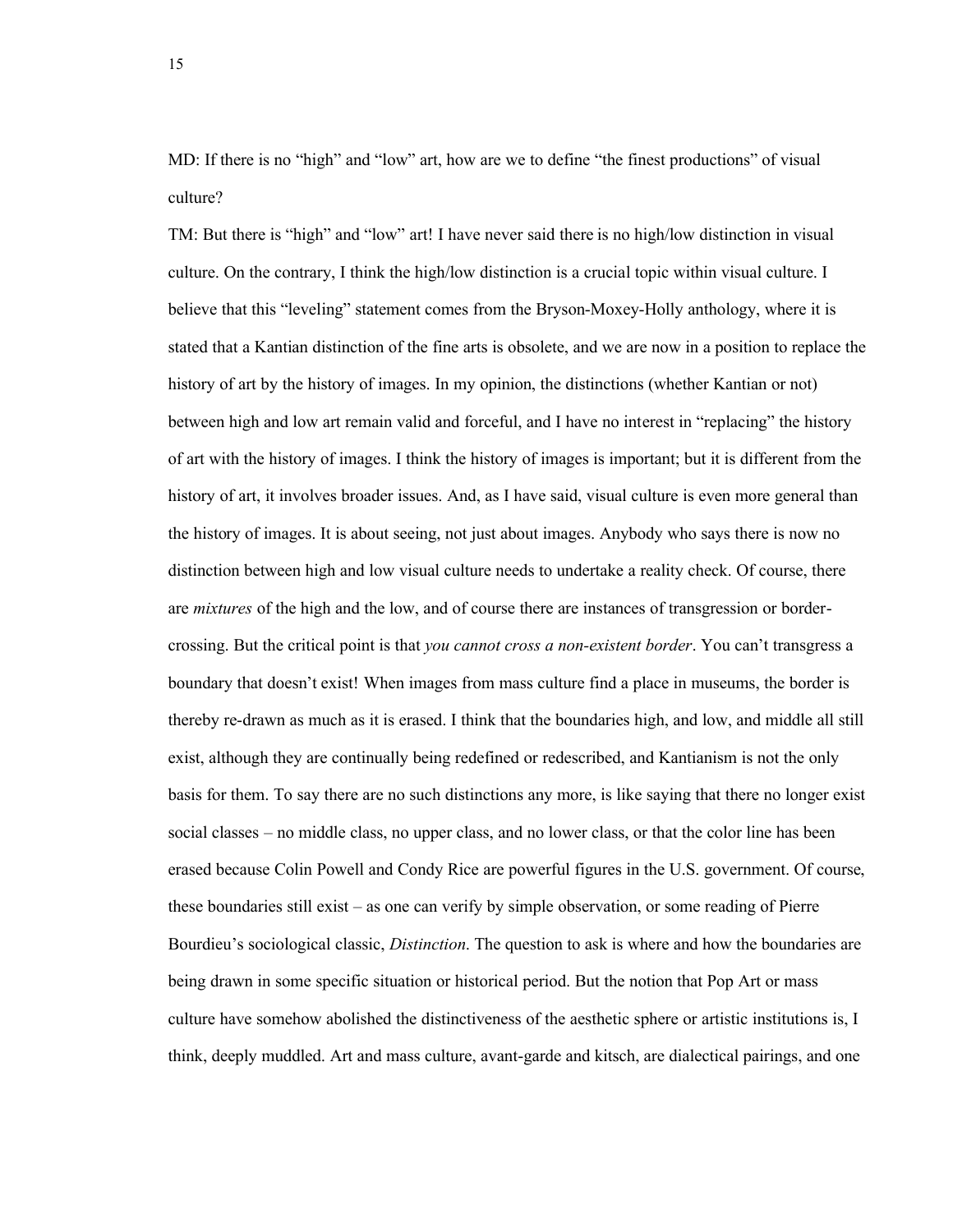MD: If there is no "high" and "low" art, how are we to define "the finest productions" of visual culture?

TM: But there is "high" and "low" art! I have never said there is no high/low distinction in visual culture. On the contrary, I think the high/low distinction is a crucial topic within visual culture. I believe that this "leveling" statement comes from the Bryson-Moxey-Holly anthology, where it is stated that a Kantian distinction of the fine arts is obsolete, and we are now in a position to replace the history of art by the history of images. In my opinion, the distinctions (whether Kantian or not) between high and low art remain valid and forceful, and I have no interest in "replacing" the history of art with the history of images. I think the history of images is important; but it is different from the history of art, it involves broader issues. And, as I have said, visual culture is even more general than the history of images. It is about seeing, not just about images. Anybody who says there is now no distinction between high and low visual culture needs to undertake a reality check. Of course, there are *mixtures* of the high and the low, and of course there are instances of transgression or bordercrossing. But the critical point is that *you cannot cross a non-existent border*. You can't transgress a boundary that doesn't exist! When images from mass culture find a place in museums, the border is thereby re-drawn as much as it is erased. I think that the boundaries high, and low, and middle all still exist, although they are continually being redefined or redescribed, and Kantianism is not the only basis for them. To say there are no such distinctions any more, is like saying that there no longer exist social classes – no middle class, no upper class, and no lower class, or that the color line has been erased because Colin Powell and Condy Rice are powerful figures in the U.S. government. Of course, these boundaries still exist – as one can verify by simple observation, or some reading of Pierre Bourdieu's sociological classic, *Distinction*. The question to ask is where and how the boundaries are being drawn in some specific situation or historical period. But the notion that Pop Art or mass culture have somehow abolished the distinctiveness of the aesthetic sphere or artistic institutions is, I think, deeply muddled. Art and mass culture, avant-garde and kitsch, are dialectical pairings, and one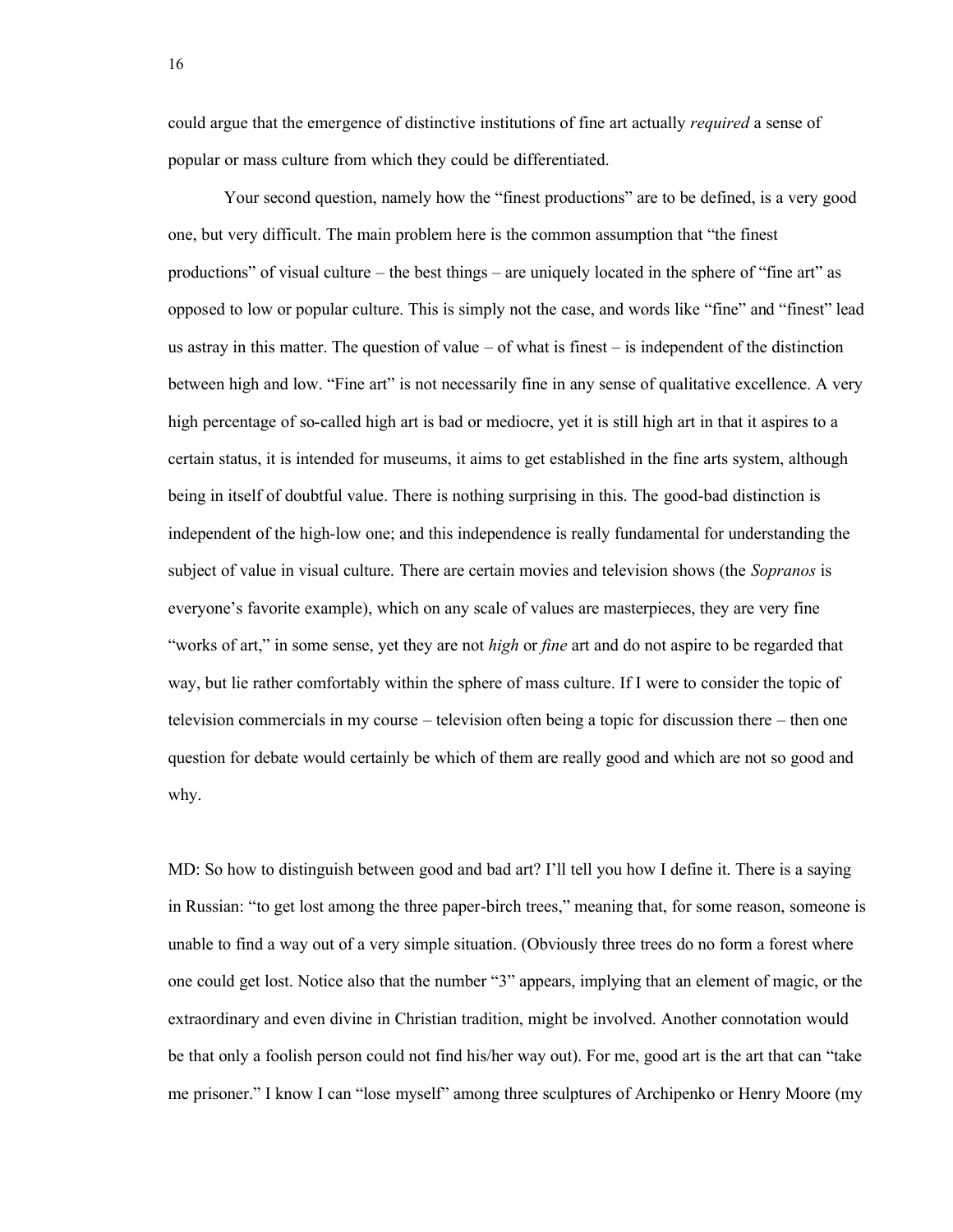could argue that the emergence of distinctive institutions of fine art actually *required* a sense of popular or mass culture from which they could be differentiated.

Your second question, namely how the "finest productions" are to be defined, is a very good one, but very difficult. The main problem here is the common assumption that "the finest productions" of visual culture – the best things – are uniquely located in the sphere of "fine art" as opposed to low or popular culture. This is simply not the case, and words like "fine" and "finest" lead us astray in this matter. The question of value  $-$  of what is finest  $-$  is independent of the distinction between high and low. "Fine art" is not necessarily fine in any sense of qualitative excellence. A very high percentage of so-called high art is bad or mediocre, yet it is still high art in that it aspires to a certain status, it is intended for museums, it aims to get established in the fine arts system, although being in itself of doubtful value. There is nothing surprising in this. The good-bad distinction is independent of the high-low one; and this independence is really fundamental for understanding the subject of value in visual culture. There are certain movies and television shows (the *Sopranos* is everyone's favorite example), which on any scale of values are masterpieces, they are very fine "works of art," in some sense, yet they are not *high* or *fine* art and do not aspire to be regarded that way, but lie rather comfortably within the sphere of mass culture. If I were to consider the topic of television commercials in my course – television often being a topic for discussion there – then one question for debate would certainly be which of them are really good and which are not so good and why.

MD: So how to distinguish between good and bad art? I'll tell you how I define it. There is a saying in Russian: "to get lost among the three paper-birch trees," meaning that, for some reason, someone is unable to find a way out of a very simple situation. (Obviously three trees do no form a forest where one could get lost. Notice also that the number "3" appears, implying that an element of magic, or the extraordinary and even divine in Christian tradition, might be involved. Another connotation would be that only a foolish person could not find his/her way out). For me, good art is the art that can "take me prisoner." I know I can "lose myself" among three sculptures of Archipenko or Henry Moore (my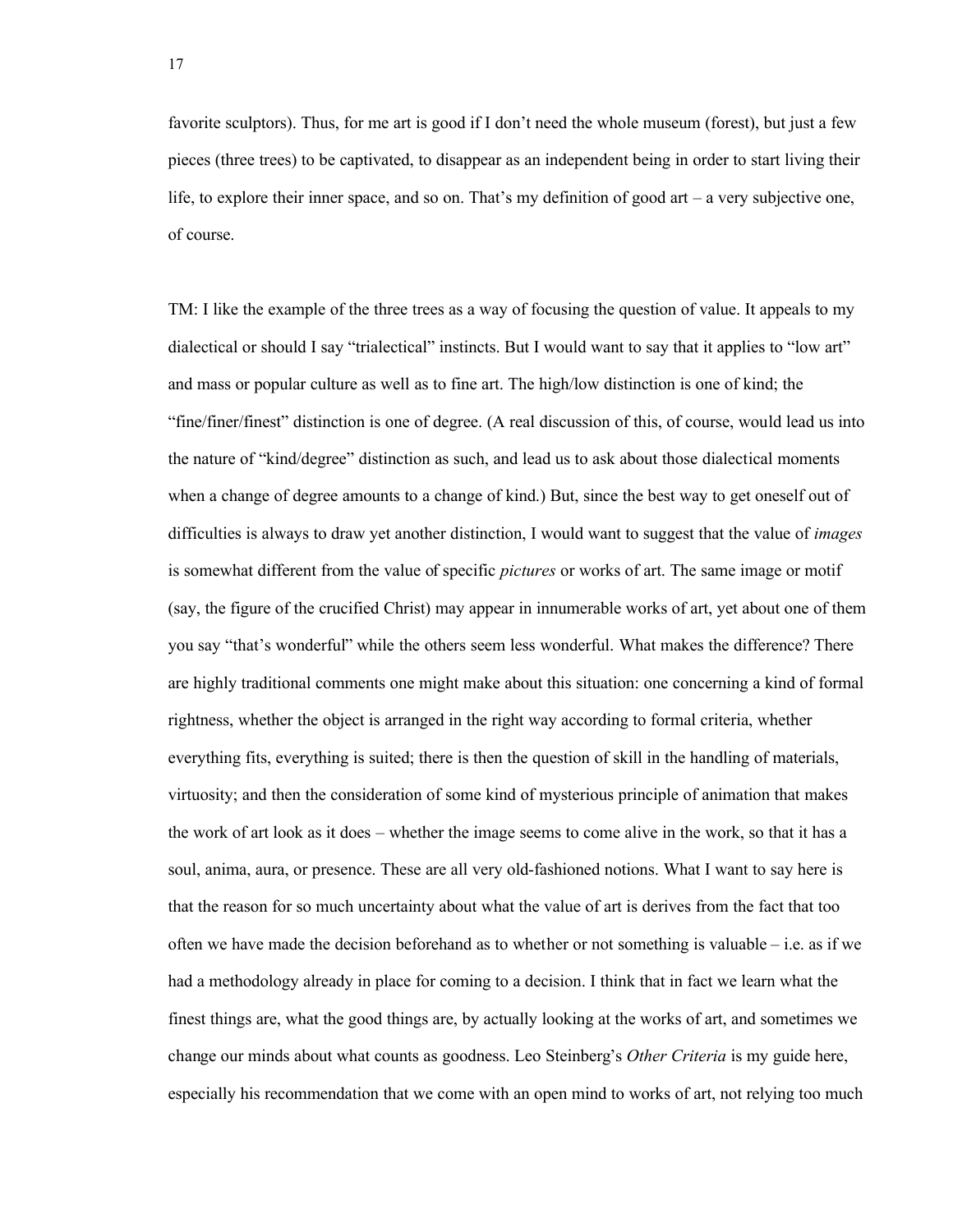favorite sculptors). Thus, for me art is good if I don't need the whole museum (forest), but just a few pieces (three trees) to be captivated, to disappear as an independent being in order to start living their life, to explore their inner space, and so on. That's my definition of good art – a very subjective one, of course.

TM: I like the example of the three trees as a way of focusing the question of value. It appeals to my dialectical or should I say "trialectical" instincts. But I would want to say that it applies to "low art" and mass or popular culture as well as to fine art. The high/low distinction is one of kind; the "fine/finer/finest" distinction is one of degree. (A real discussion of this, of course, would lead us into the nature of "kind/degree" distinction as such, and lead us to ask about those dialectical moments when a change of degree amounts to a change of kind.) But, since the best way to get oneself out of difficulties is always to draw yet another distinction, I would want to suggest that the value of *images* is somewhat different from the value of specific *pictures* or works of art. The same image or motif (say, the figure of the crucified Christ) may appear in innumerable works of art, yet about one of them you say "that's wonderful" while the others seem less wonderful. What makes the difference? There are highly traditional comments one might make about this situation: one concerning a kind of formal rightness, whether the object is arranged in the right way according to formal criteria, whether everything fits, everything is suited; there is then the question of skill in the handling of materials, virtuosity; and then the consideration of some kind of mysterious principle of animation that makes the work of art look as it does – whether the image seems to come alive in the work, so that it has a soul, anima, aura, or presence. These are all very old-fashioned notions. What I want to say here is that the reason for so much uncertainty about what the value of art is derives from the fact that too often we have made the decision beforehand as to whether or not something is valuable – i.e. as if we had a methodology already in place for coming to a decision. I think that in fact we learn what the finest things are, what the good things are, by actually looking at the works of art, and sometimes we change our minds about what counts as goodness. Leo Steinberg's *Other Criteria* is my guide here, especially his recommendation that we come with an open mind to works of art, not relying too much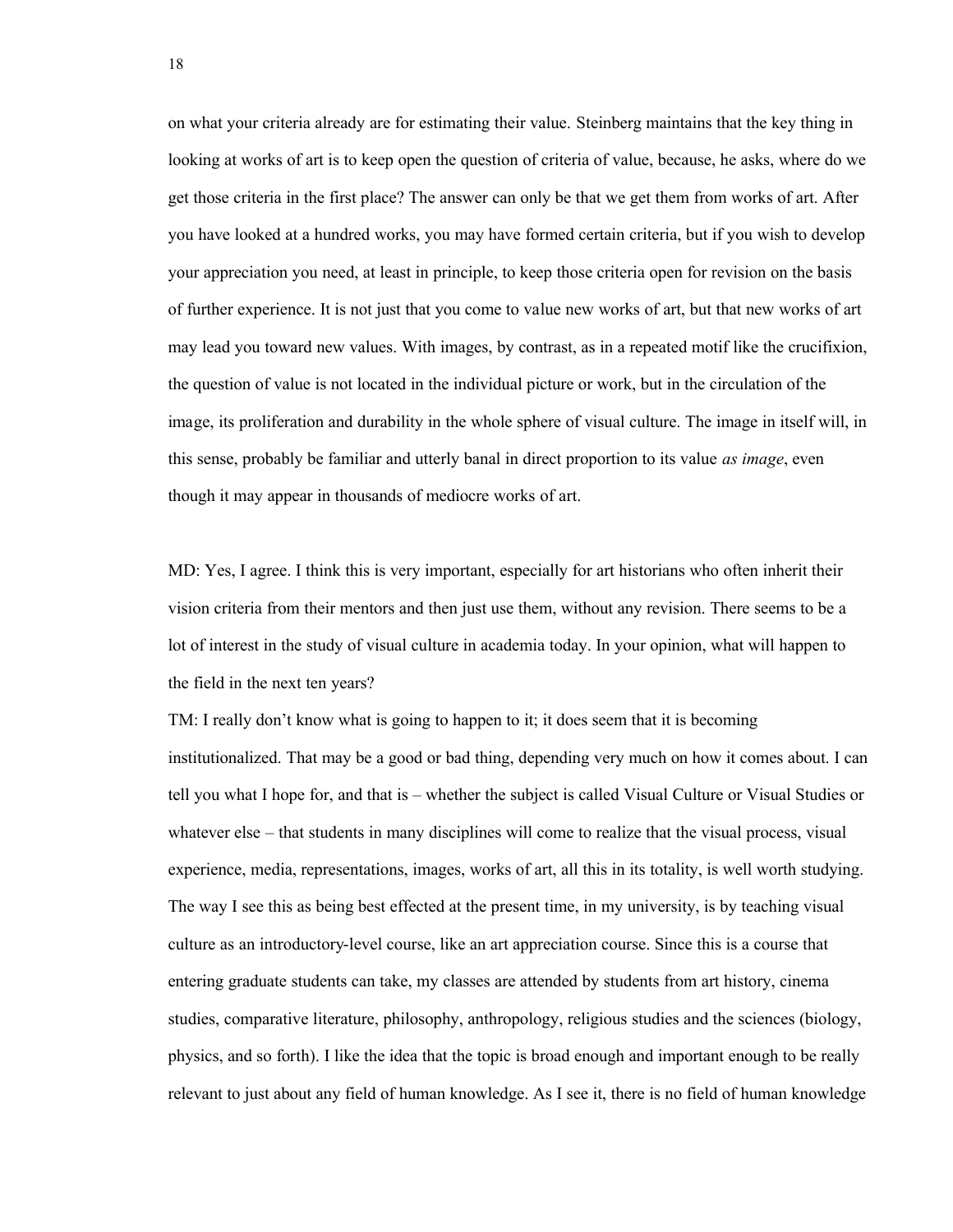on what your criteria already are for estimating their value. Steinberg maintains that the key thing in looking at works of art is to keep open the question of criteria of value, because, he asks, where do we get those criteria in the first place? The answer can only be that we get them from works of art. After you have looked at a hundred works, you may have formed certain criteria, but if you wish to develop your appreciation you need, at least in principle, to keep those criteria open for revision on the basis of further experience. It is not just that you come to value new works of art, but that new works of art may lead you toward new values. With images, by contrast, as in a repeated motif like the crucifixion, the question of value is not located in the individual picture or work, but in the circulation of the image, its proliferation and durability in the whole sphere of visual culture. The image in itself will, in this sense, probably be familiar and utterly banal in direct proportion to its value *as image*, even though it may appear in thousands of mediocre works of art.

MD: Yes, I agree. I think this is very important, especially for art historians who often inherit their vision criteria from their mentors and then just use them, without any revision. There seems to be a lot of interest in the study of visual culture in academia today. In your opinion, what will happen to the field in the next ten years?

TM: I really don't know what is going to happen to it; it does seem that it is becoming institutionalized. That may be a good or bad thing, depending very much on how it comes about. I can tell you what I hope for, and that is – whether the subject is called Visual Culture or Visual Studies or whatever else – that students in many disciplines will come to realize that the visual process, visual experience, media, representations, images, works of art, all this in its totality, is well worth studying. The way I see this as being best effected at the present time, in my university, is by teaching visual culture as an introductory-level course, like an art appreciation course. Since this is a course that entering graduate students can take, my classes are attended by students from art history, cinema studies, comparative literature, philosophy, anthropology, religious studies and the sciences (biology, physics, and so forth). I like the idea that the topic is broad enough and important enough to be really relevant to just about any field of human knowledge. As I see it, there is no field of human knowledge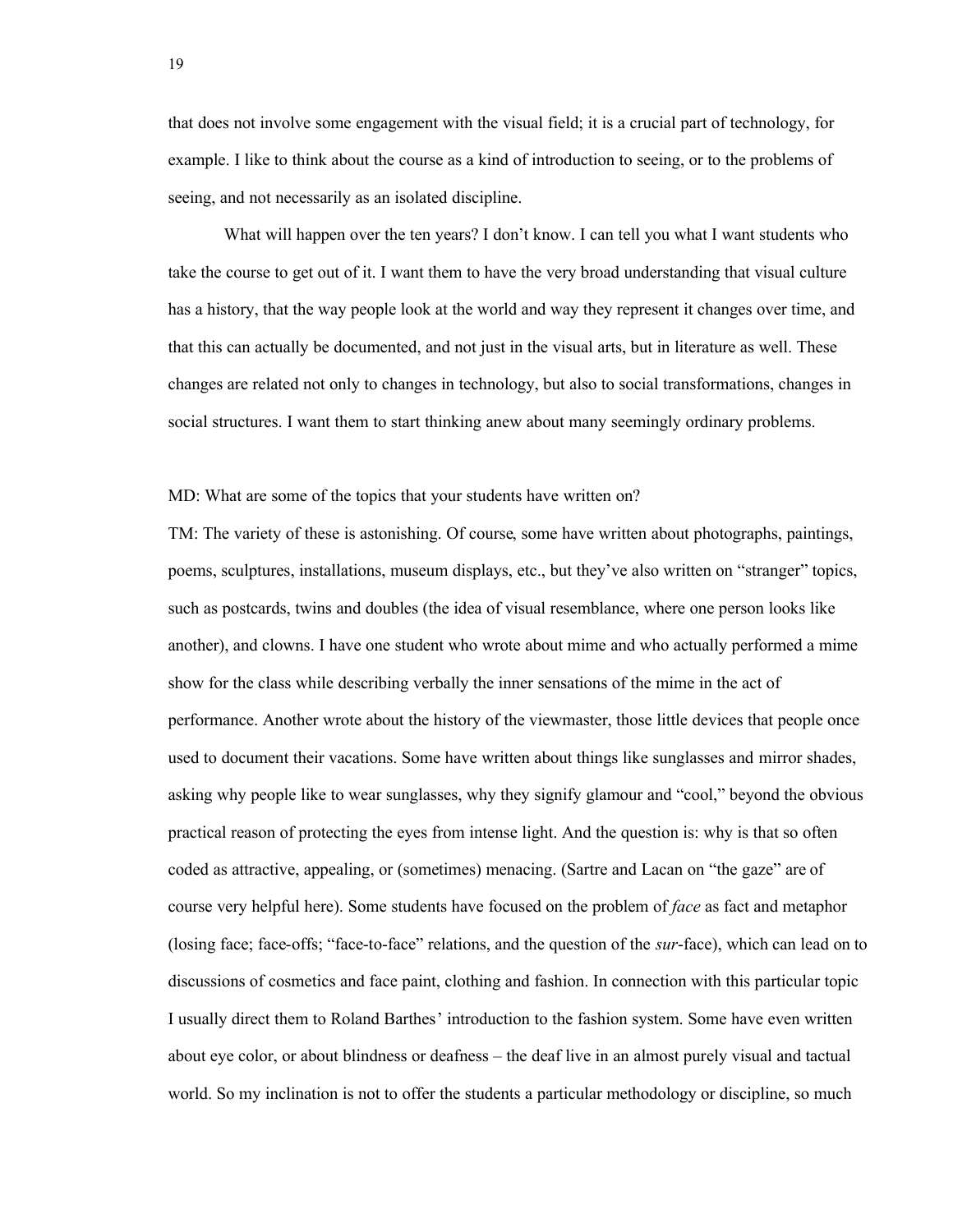that does not involve some engagement with the visual field; it is a crucial part of technology, for example. I like to think about the course as a kind of introduction to seeing, or to the problems of seeing, and not necessarily as an isolated discipline.

What will happen over the ten years? I don't know. I can tell you what I want students who take the course to get out of it. I want them to have the very broad understanding that visual culture has a history, that the way people look at the world and way they represent it changes over time, and that this can actually be documented, and not just in the visual arts, but in literature as well. These changes are related not only to changes in technology, but also to social transformations, changes in social structures. I want them to start thinking anew about many seemingly ordinary problems.

## MD: What are some of the topics that your students have written on?

TM: The variety of these is astonishing. Of course, some have written about photographs, paintings, poems, sculptures, installations, museum displays, etc., but they've also written on "stranger" topics, such as postcards, twins and doubles (the idea of visual resemblance, where one person looks like another), and clowns. I have one student who wrote about mime and who actually performed a mime show for the class while describing verbally the inner sensations of the mime in the act of performance. Another wrote about the history of the viewmaster, those little devices that people once used to document their vacations. Some have written about things like sunglasses and mirror shades, asking why people like to wear sunglasses, why they signify glamour and "cool," beyond the obvious practical reason of protecting the eyes from intense light. And the question is: why is that so often coded as attractive, appealing, or (sometimes) menacing. (Sartre and Lacan on "the gaze" are of course very helpful here). Some students have focused on the problem of *face* as fact and metaphor (losing face; face-offs; "face-to-face" relations, and the question of the *sur*-face), which can lead on to discussions of cosmetics and face paint, clothing and fashion. In connection with this particular topic I usually direct them to Roland Barthes' introduction to the fashion system. Some have even written about eye color, or about blindness or deafness – the deaf live in an almost purely visual and tactual world. So my inclination is not to offer the students a particular methodology or discipline, so much